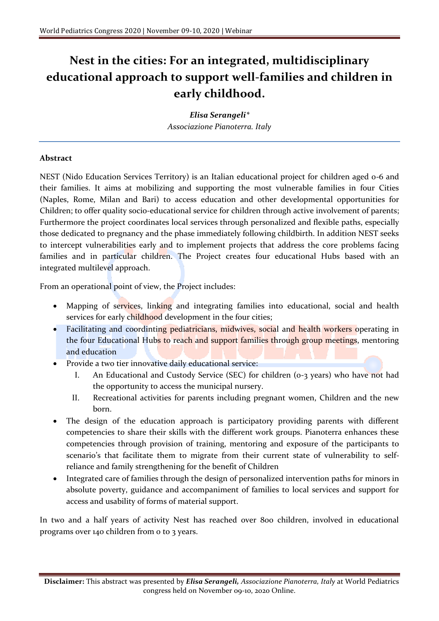## **Nest in the cities: For an integrated, multidisciplinary educational approach to support well-families and children in early childhood.**

*Elisa Serangeli\* Associazione Pianoterra. Italy*

## **Abstract**

NEST (Nido Education Services Territory) is an Italian educational project for children aged 0-6 and their families. It aims at mobilizing and supporting the most vulnerable families in four Cities (Naples, Rome, Milan and Bari) to access education and other developmental opportunities for Children; to offer quality socio-educational service for children through active involvement of parents; Furthermore the project coordinates local services through personalized and flexible paths, especially those dedicated to pregnancy and the phase immediately following childbirth. In addition NEST seeks to intercept vulnerabilities early and to implement projects that address the core problems facing families and in particular children. The Project creates four educational Hubs based with an integrated multilevel approach.

From an operational point of view, the Project includes:

- Mapping of services, linking and integrating families into educational, social and health services for early childhood development in the four cities;
- Facilitating and coordinting pediatricians, midwives, social and health workers operating in the four Educational Hubs to reach and support families through group meetings, mentoring and education
- Provide a two tier innovative daily educational service:
	- I. An Educational and Custody Service (SEC) for children (0-3 years) who have not had the opportunity to access the municipal nursery.
	- II. Recreational activities for parents including pregnant women, Children and the new born.
- The design of the education approach is participatory providing parents with different competencies to share their skills with the different work groups. Pianoterra enhances these competencies through provision of training, mentoring and exposure of the participants to scenario's that facilitate them to migrate from their current state of vulnerability to selfreliance and family strengthening for the benefit of Children
- Integrated care of families through the design of personalized intervention paths for minors in absolute poverty, guidance and accompaniment of families to local services and support for access and usability of forms of material support.

In two and a half years of activity Nest has reached over 800 children, involved in educational programs over 140 children from 0 to 3 years.